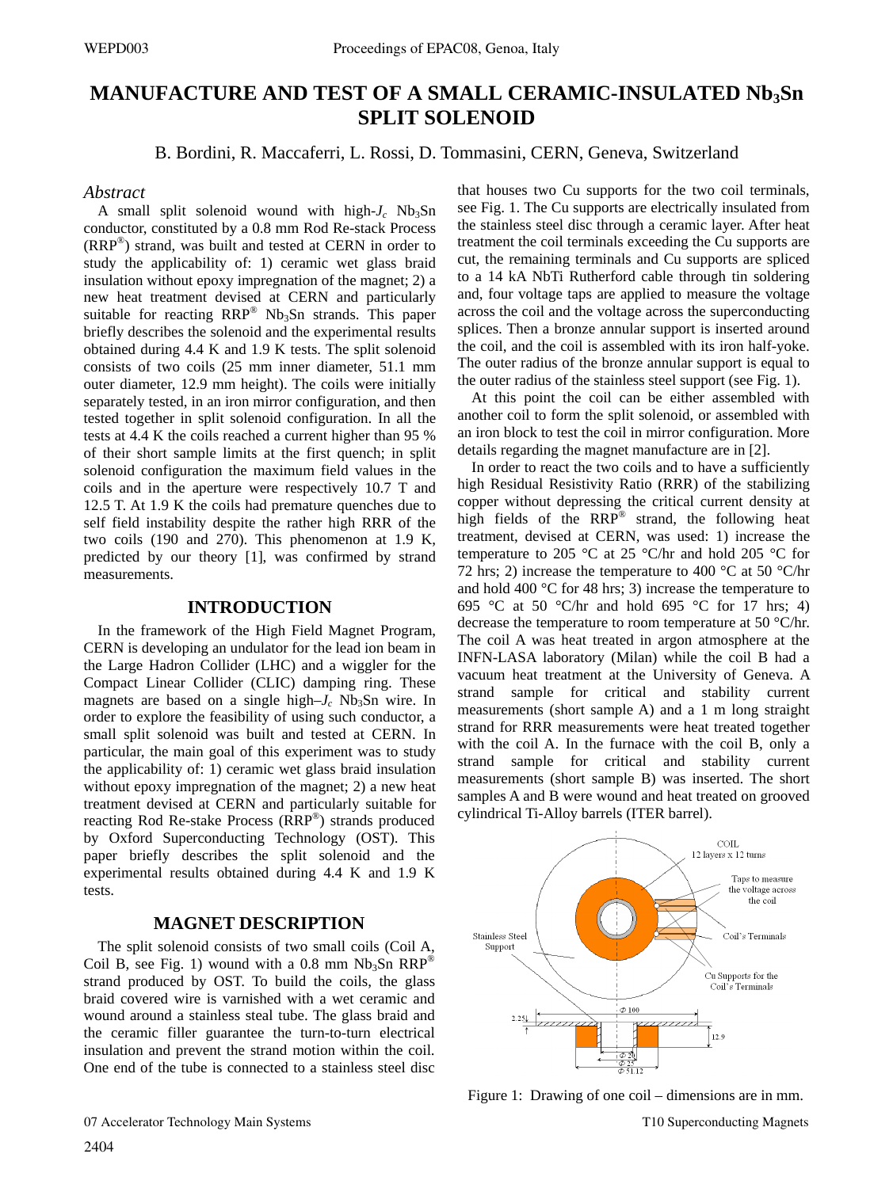# **MANUFACTURE AND TEST OF A SMALL CERAMIC-INSULATED Nb3Sn SPLIT SOLENOID**

B. Bordini, R. Maccaferri, L. Rossi, D. Tommasini, CERN, Geneva, Switzerland

# *Abstract*

A small split solenoid wound with high- $J_c$  Nb<sub>3</sub>Sn conductor, constituted by a 0.8 mm Rod Re-stack Process (RRP®) strand, was built and tested at CERN in order to study the applicability of: 1) ceramic wet glass braid insulation without epoxy impregnation of the magnet; 2) a new heat treatment devised at CERN and particularly suitable for reacting RRP<sup>®</sup> Nb<sub>3</sub>Sn strands. This paper briefly describes the solenoid and the experimental results obtained during 4.4 K and 1.9 K tests. The split solenoid consists of two coils (25 mm inner diameter, 51.1 mm outer diameter, 12.9 mm height). The coils were initially separately tested, in an iron mirror configuration, and then tested together in split solenoid configuration. In all the tests at 4.4 K the coils reached a current higher than 95 % of their short sample limits at the first quench; in split solenoid configuration the maximum field values in the coils and in the aperture were respectively 10.7 T and 12.5 T. At 1.9 K the coils had premature quenches due to self field instability despite the rather high RRR of the two coils (190 and 270). This phenomenon at 1.9 K, predicted by our theory [1], was confirmed by strand measurements.

# **INTRODUCTION**

In the framework of the High Field Magnet Program, CERN is developing an undulator for the lead ion beam in the Large Hadron Collider (LHC) and a wiggler for the Compact Linear Collider (CLIC) damping ring. These magnets are based on a single high– $J_c$  Nb<sub>3</sub>Sn wire. In order to explore the feasibility of using such conductor, a small split solenoid was built and tested at CERN. In particular, the main goal of this experiment was to study the applicability of: 1) ceramic wet glass braid insulation without epoxy impregnation of the magnet; 2) a new heat treatment devised at CERN and particularly suitable for reacting Rod Re-stake Process (RRP®) strands produced by Oxford Superconducting Technology (OST). This paper briefly describes the split solenoid and the experimental results obtained during 4.4 K and 1.9 K tests.

# **MAGNET DESCRIPTION**

The split solenoid consists of two small coils (Coil A, Coil B, see Fig. 1) wound with a 0.8 mm  $Nb<sub>3</sub>Sn RRP<sup>®</sup>$ strand produced by OST. To build the coils, the glass braid covered wire is varnished with a wet ceramic and wound around a stainless steal tube. The glass braid and the ceramic filler guarantee the turn-to-turn electrical insulation and prevent the strand motion within the coil. One end of the tube is connected to a stainless steel disc that houses two Cu supports for the two coil terminals, see Fig. 1. The Cu supports are electrically insulated from the stainless steel disc through a ceramic layer. After heat treatment the coil terminals exceeding the Cu supports are cut, the remaining terminals and Cu supports are spliced to a 14 kA NbTi Rutherford cable through tin soldering and, four voltage taps are applied to measure the voltage across the coil and the voltage across the superconducting splices. Then a bronze annular support is inserted around the coil, and the coil is assembled with its iron half-yoke. The outer radius of the bronze annular support is equal to the outer radius of the stainless steel support (see Fig. 1).

At this point the coil can be either assembled with another coil to form the split solenoid, or assembled with an iron block to test the coil in mirror configuration. More details regarding the magnet manufacture are in [2].

In order to react the two coils and to have a sufficiently high Residual Resistivity Ratio (RRR) of the stabilizing copper without depressing the critical current density at high fields of the  $RRP^{\circledR}$  strand, the following heat treatment, devised at CERN, was used: 1) increase the temperature to 205 °C at 25 °C/hr and hold 205 °C for 72 hrs; 2) increase the temperature to 400  $^{\circ}$ C at 50  $^{\circ}$ C/hr and hold 400 °C for 48 hrs; 3) increase the temperature to 695 °C at 50 °C/hr and hold 695 °C for 17 hrs; 4) decrease the temperature to room temperature at 50 °C/hr. The coil A was heat treated in argon atmosphere at the INFN-LASA laboratory (Milan) while the coil B had a vacuum heat treatment at the University of Geneva. A strand sample for critical and stability current measurements (short sample A) and a 1 m long straight strand for RRR measurements were heat treated together with the coil A. In the furnace with the coil B, only a strand sample for critical and stability current measurements (short sample B) was inserted. The short samples A and B were wound and heat treated on grooved cylindrical Ti-Alloy barrels (ITER barrel).



Figure 1: Drawing of one coil – dimensions are in mm.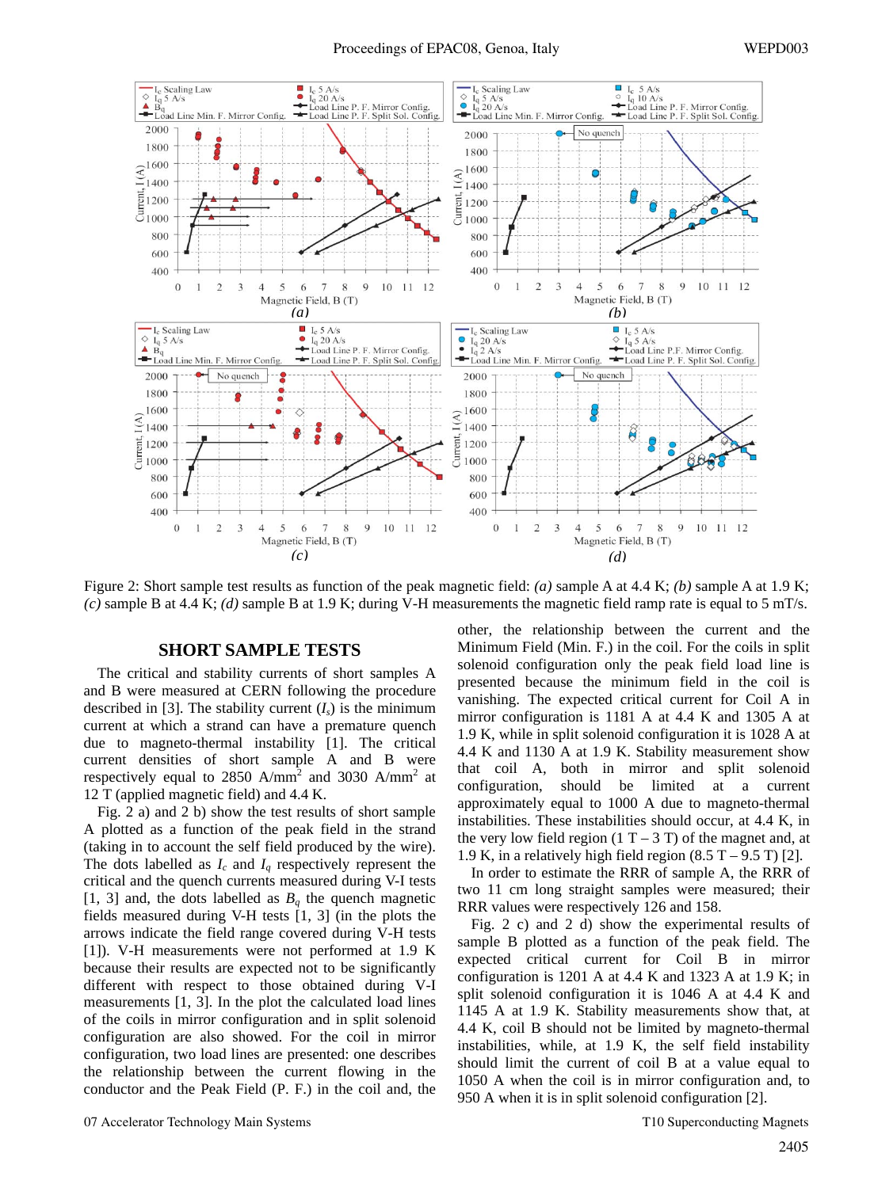

Figure 2: Short sample test results as function of the peak magnetic field: *(a)* sample A at 4.4 K; *(b)* sample A at 1.9 K; *(c)* sample B at 4.4 K; *(d)* sample B at 1.9 K; during V-H measurements the magnetic field ramp rate is equal to 5 mT/s.

#### **SHORT SAMPLE TESTS**

The critical and stability currents of short samples A and B were measured at CERN following the procedure described in [3]. The stability current  $(I_s)$  is the minimum current at which a strand can have a premature quench due to magneto-thermal instability [1]. The critical current densities of short sample A and B were respectively equal to 2850 A/mm<sup>2</sup> and 3030 A/mm<sup>2</sup> at 12 T (applied magnetic field) and 4.4 K.

Fig. 2 a) and 2 b) show the test results of short sample A plotted as a function of the peak field in the strand (taking in to account the self field produced by the wire). The dots labelled as  $I_c$  and  $I_q$  respectively represent the critical and the quench currents measured during V-I tests [1, 3] and, the dots labelled as  $B<sub>a</sub>$  the quench magnetic fields measured during V-H tests [1, 3] (in the plots the arrows indicate the field range covered during V-H tests [1]). V-H measurements were not performed at 1.9 K because their results are expected not to be significantly different with respect to those obtained during V-I measurements [1, 3]. In the plot the calculated load lines of the coils in mirror configuration and in split solenoid configuration are also showed. For the coil in mirror configuration, two load lines are presented: one describes the relationship between the current flowing in the conductor and the Peak Field (P. F.) in the coil and, the other, the relationship between the current and the Minimum Field (Min. F.) in the coil. For the coils in split solenoid configuration only the peak field load line is presented because the minimum field in the coil is vanishing. The expected critical current for Coil A in mirror configuration is 1181 A at 4.4 K and 1305 A at 1.9 K, while in split solenoid configuration it is 1028 A at 4.4 K and 1130 A at 1.9 K. Stability measurement show that coil A, both in mirror and split solenoid configuration, should be limited at a current approximately equal to 1000 A due to magneto-thermal instabilities. These instabilities should occur, at 4.4 K, in the very low field region  $(1 T - 3 T)$  of the magnet and, at 1.9 K, in a relatively high field region  $(8.5 T - 9.5 T)$  [2].

In order to estimate the RRR of sample A, the RRR of two 11 cm long straight samples were measured; their RRR values were respectively 126 and 158.

Fig. 2 c) and 2 d) show the experimental results of sample B plotted as a function of the peak field. The expected critical current for Coil B in mirror configuration is 1201 A at 4.4 K and 1323 A at 1.9 K; in split solenoid configuration it is 1046 A at 4.4 K and 1145 A at 1.9 K. Stability measurements show that, at 4.4 K, coil B should not be limited by magneto-thermal instabilities, while, at 1.9 K, the self field instability should limit the current of coil B at a value equal to 1050 A when the coil is in mirror configuration and, to 950 A when it is in split solenoid configuration [2].